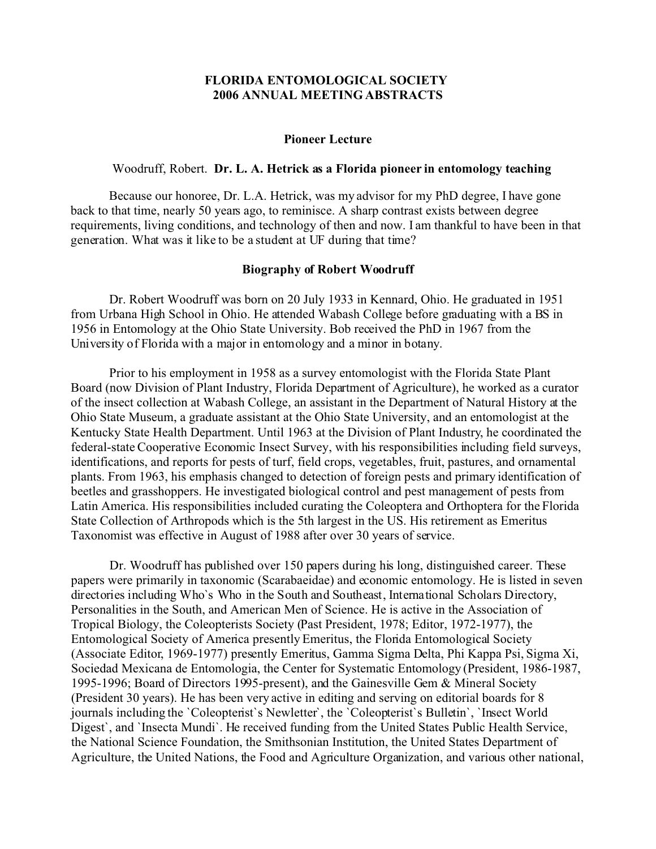### **FLORIDA ENTOMOLOGICAL SOCIETY 2006 ANNUAL MEETING ABSTRACTS**

#### **Pioneer Lecture**

#### Woodruff, Robert. **Dr. L. A. Hetrick as a Florida pioneer in entomology teaching**

Because our honoree, Dr. L.A. Hetrick, was my advisor for my PhD degree, I have gone back to that time, nearly 50 years ago, to reminisce. A sharp contrast exists between degree requirements, living conditions, and technology of then and now. I am thankful to have been in that generation. What was it like to be a student at UF during that time?

#### **Biography of Robert Woodruff**

Dr. Robert Woodruff was born on 20 July 1933 in Kennard, Ohio. He graduated in 1951 from Urbana High School in Ohio. He attended Wabash College before graduating with a BS in 1956 in Entomology at the Ohio State University. Bob received the PhD in 1967 from the University of Florida with a major in entomology and a minor in botany.

Prior to his employment in 1958 as a survey entomologist with the Florida State Plant Board (now Division of Plant Industry, Florida Department of Agriculture), he worked as a curator of the insect collection at Wabash College, an assistant in the Department of Natural History at the Ohio State Museum, a graduate assistant at the Ohio State University, and an entomologist at the Kentucky State Health Department. Until 1963 at the Division of Plant Industry, he coordinated the federal-state Cooperative Economic Insect Survey, with his responsibilities including field surveys, identifications, and reports for pests of turf, field crops, vegetables, fruit, pastures, and ornamental plants. From 1963, his emphasis changed to detection of foreign pests and primary identification of beetles and grasshoppers. He investigated biological control and pest management of pests from Latin America. His responsibilities included curating the Coleoptera and Orthoptera for the Florida State Collection of Arthropods which is the 5th largest in the US. His retirement as Emeritus Taxonomist was effective in August of 1988 after over 30 years of service.

Dr. Woodruff has published over 150 papers during his long, distinguished career. These papers were primarily in taxonomic (Scarabaeidae) and economic entomology. He is listed in seven directories including Who`s Who in the South and Southeast, International Scholars Directory, Personalities in the South, and American Men of Science. He is active in the Association of Tropical Biology, the Coleopterists Society (Past President, 1978; Editor, 1972-1977), the Entomological Society of America presently Emeritus, the Florida Entomological Society (Associate Editor, 1969-1977) presently Emeritus, Gamma Sigma Delta, Phi Kappa Psi, Sigma Xi, Sociedad Mexicana de Entomologia, the Center for Systematic Entomology (President, 1986-1987, 1995-1996; Board of Directors 1995-present), and the Gainesville Gem & Mineral Society (President 30 years). He has been very active in editing and serving on editorial boards for 8 journals including the `Coleopterist`s Newletter`, the `Coleopterist`s Bulletin`, `Insect World Digest`, and `Insecta Mundi`. He received funding from the United States Public Health Service, the National Science Foundation, the Smithsonian Institution, the United States Department of Agriculture, the United Nations, the Food and Agriculture Organization, and various other national,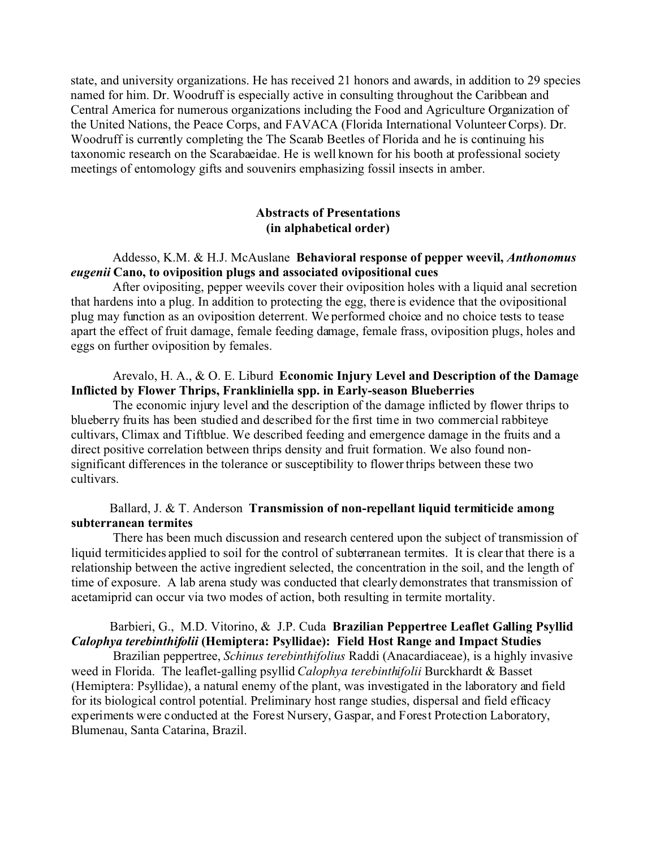state, and university organizations. He has received 21 honors and awards, in addition to 29 species named for him. Dr. Woodruff is especially active in consulting throughout the Caribbean and Central America for numerous organizations including the Food and Agriculture Organization of the United Nations, the Peace Corps, and FAVACA (Florida International Volunteer Corps). Dr. Woodruff is currently completing the The Scarab Beetles of Florida and he is continuing his taxonomic research on the Scarabaeidae. He is well known for his booth at professional society meetings of entomology gifts and souvenirs emphasizing fossil insects in amber.

## **Abstracts of Presentations (in alphabetical order)**

### Addesso, K.M. & H.J. McAuslane **Behavioral response of pepper weevil,** *Anthonomus eugenii* **Cano, to oviposition plugs and associated ovipositional cues**

 After ovipositing, pepper weevils cover their oviposition holes with a liquid anal secretion that hardens into a plug. In addition to protecting the egg, there is evidence that the ovipositional plug may function as an oviposition deterrent. We performed choice and no choice tests to tease apart the effect of fruit damage, female feeding damage, female frass, oviposition plugs, holes and eggs on further oviposition by females.

# Arevalo, H. A., & O. E. Liburd **Economic Injury Level and Description of the Damage Inflicted by Flower Thrips, Frankliniella spp. in Early-season Blueberries**

 The economic injury level and the description of the damage inflicted by flower thrips to blueberry fruits has been studied and described for the first time in two commercial rabbiteye cultivars, Climax and Tiftblue. We described feeding and emergence damage in the fruits and a direct positive correlation between thrips density and fruit formation. We also found nonsignificant differences in the tolerance or susceptibility to flower thrips between these two cultivars.

## Ballard, J. & T. Anderson **Transmission of non-repellant liquid termiticide among subterranean termites**

There has been much discussion and research centered upon the subject of transmission of liquid termiticides applied to soil for the control of subterranean termites. It is clear that there is a relationship between the active ingredient selected, the concentration in the soil, and the length of time of exposure. A lab arena study was conducted that clearly demonstrates that transmission of acetamiprid can occur via two modes of action, both resulting in termite mortality.

# Barbieri, G., M.D. Vitorino, & J.P. Cuda **Brazilian Peppertree Leaflet Galling Psyllid** *Calophya terebinthifolii* **(Hemiptera: Psyllidae): Field Host Range and Impact Studies**

 Brazilian peppertree, *Schinus terebinthifolius* Raddi (Anacardiaceae), is a highly invasive weed in Florida. The leaflet-galling psyllid *Calophya terebinthifolii* Burckhardt & Basset (Hemiptera: Psyllidae), a natural enemy of the plant, was investigated in the laboratory and field for its biological control potential. Preliminary host range studies, dispersal and field efficacy experiments were conducted at the Forest Nursery, Gaspar, and Forest Protection Laboratory, Blumenau, Santa Catarina, Brazil.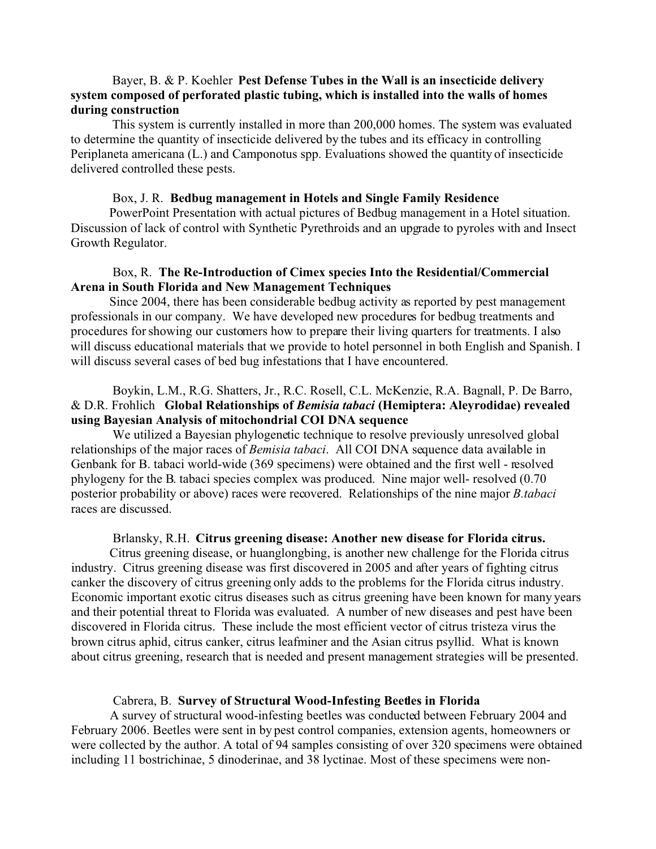## Bayer, B. & P. Koehler **Pest Defense Tubes in the Wall is an insecticide delivery system composed of perforated plastic tubing, which is installed into the walls of homes during construction**

This system is currently installed in more than 200,000 homes. The system was evaluated to determine the quantity of insecticide delivered by the tubes and its efficacy in controlling Periplaneta americana (L.) and Camponotus spp. Evaluations showed the quantity of insecticide delivered controlled these pests.

#### Box, J. R. **Bedbug management in Hotels and Single Family Residence**

PowerPoint Presentation with actual pictures of Bedbug management in a Hotel situation. Discussion of lack of control with Synthetic Pyrethroids and an upgrade to pyroles with and Insect Growth Regulator.

## Box, R. **The Re-Introduction of Cimex species Into the Residential/Commercial Arena in South Florida and New Management Techniques**

Since 2004, there has been considerable bedbug activity as reported by pest management professionals in our company. We have developed new procedures for bedbug treatments and procedures for showing our customers how to prepare their living quarters for treatments. I also will discuss educational materials that we provide to hotel personnel in both English and Spanish. I will discuss several cases of bed bug infestations that I have encountered.

# Boykin, L.M., R.G. Shatters, Jr., R.C. Rosell, C.L. McKenzie, R.A. Bagnall, P. De Barro, & D.R. Frohlich **Global Relationships of** *Bemisia tabaci* **(Hemiptera: Aleyrodidae) revealed using Bayesian Analysis of mitochondrial COI DNA sequence**

 We utilized a Bayesian phylogenetic technique to resolve previously unresolved global relationships of the major races of *Bemisia tabaci*. All COI DNA sequence data available in Genbank for B. tabaci world-wide (369 specimens) were obtained and the first well - resolved phylogeny for the B. tabaci species complex was produced. Nine major well- resolved (0.70 posterior probability or above) races were recovered. Relationships of the nine major *B.tabaci* races are discussed.

#### Brlansky, R.H. **Citrus greening disease: Another new disease for Florida citrus.**

Citrus greening disease, or huanglongbing, is another new challenge for the Florida citrus industry. Citrus greening disease was first discovered in 2005 and after years of fighting citrus canker the discovery of citrus greening only adds to the problems for the Florida citrus industry. Economic important exotic citrus diseases such as citrus greening have been known for many years and their potential threat to Florida was evaluated. A number of new diseases and pest have been discovered in Florida citrus. These include the most efficient vector of citrus tristeza virus the brown citrus aphid, citrus canker, citrus leafminer and the Asian citrus psyllid. What is known about citrus greening, research that is needed and present management strategies will be presented.

#### Cabrera, B. **Survey of Structural Wood-Infesting Beetles in Florida**

A survey of structural wood-infesting beetles was conducted between February 2004 and February 2006. Beetles were sent in by pest control companies, extension agents, homeowners or were collected by the author. A total of 94 samples consisting of over 320 specimens were obtained including 11 bostrichinae, 5 dinoderinae, and 38 lyctinae. Most of these specimens were non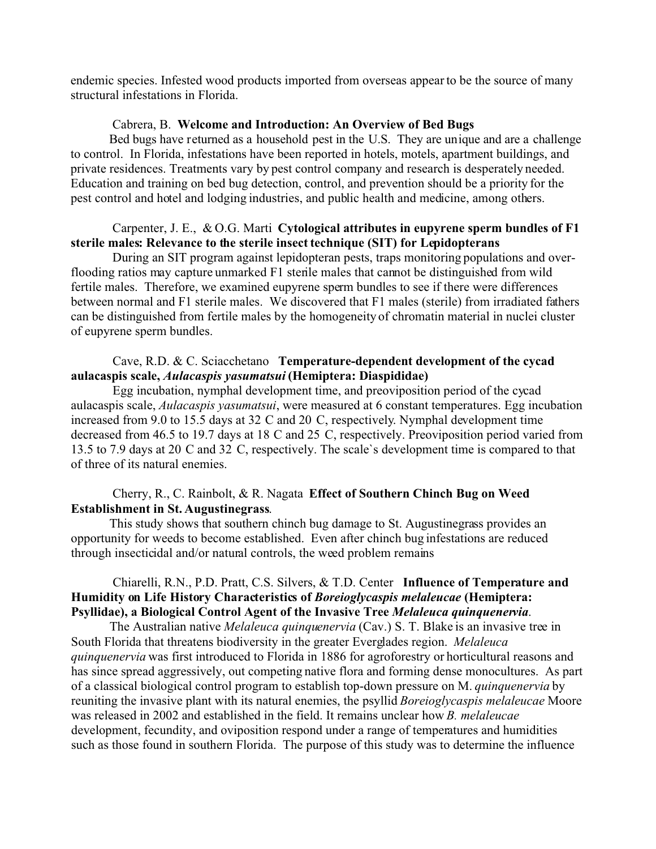endemic species. Infested wood products imported from overseas appear to be the source of many structural infestations in Florida.

### Cabrera, B. **Welcome and Introduction: An Overview of Bed Bugs**

Bed bugs have returned as a household pest in the U.S. They are unique and are a challenge to control. In Florida, infestations have been reported in hotels, motels, apartment buildings, and private residences. Treatments vary by pest control company and research is desperately needed. Education and training on bed bug detection, control, and prevention should be a priority for the pest control and hotel and lodging industries, and public health and medicine, among others.

## Carpenter, J. E., & O.G. Marti **Cytological attributes in eupyrene sperm bundles of F1 sterile males: Relevance to the sterile insect technique (SIT) for Lepidopterans**

 During an SIT program against lepidopteran pests, traps monitoring populations and overflooding ratios may capture unmarked F1 sterile males that cannot be distinguished from wild fertile males. Therefore, we examined eupyrene sperm bundles to see if there were differences between normal and F1 sterile males. We discovered that F1 males (sterile) from irradiated fathers can be distinguished from fertile males by the homogeneity of chromatin material in nuclei cluster of eupyrene sperm bundles.

## Cave, R.D. & C. Sciacchetano **Temperature-dependent development of the cycad aulacaspis scale,** *Aulacaspis yasumatsui* **(Hemiptera: Diaspididae)**

 Egg incubation, nymphal development time, and preoviposition period of the cycad aulacaspis scale, *Aulacaspis yasumatsui*, were measured at 6 constant temperatures. Egg incubation increased from 9.0 to 15.5 days at 32 C and 20 C, respectively. Nymphal development time decreased from 46.5 to 19.7 days at 18 C and 25 C, respectively. Preoviposition period varied from 13.5 to 7.9 days at 20 C and 32 C, respectively. The scale`s development time is compared to that of three of its natural enemies.

## Cherry, R., C. Rainbolt, & R. Nagata **Effect of Southern Chinch Bug on Weed Establishment in St. Augustinegrass**.

This study shows that southern chinch bug damage to St. Augustinegrass provides an opportunity for weeds to become established. Even after chinch bug infestations are reduced through insecticidal and/or natural controls, the weed problem remains

### Chiarelli, R.N., P.D. Pratt, C.S. Silvers, & T.D. Center **Influence of Temperature and Humidity on Life History Characteristics of** *Boreioglycaspis melaleucae* **(Hemiptera: Psyllidae), a Biological Control Agent of the Invasive Tree** *Melaleuca quinquenervia*.

The Australian native *Melaleuca quinquenervia* (Cav.) S. T. Blake is an invasive tree in South Florida that threatens biodiversity in the greater Everglades region. *Melaleuca quinquenervia* was first introduced to Florida in 1886 for agroforestry or horticultural reasons and has since spread aggressively, out competing native flora and forming dense monocultures. As part of a classical biological control program to establish top-down pressure on M. *quinquenervia* by reuniting the invasive plant with its natural enemies, the psyllid *Boreioglycaspis melaleucae* Moore was released in 2002 and established in the field. It remains unclear how *B. melaleucae* development, fecundity, and oviposition respond under a range of temperatures and humidities such as those found in southern Florida. The purpose of this study was to determine the influence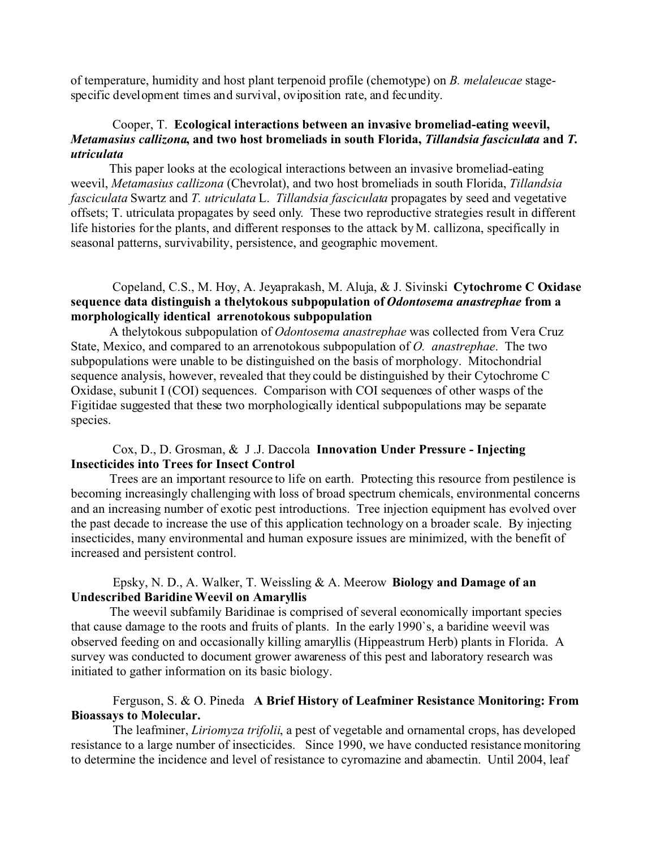of temperature, humidity and host plant terpenoid profile (chemotype) on *B. melaleucae* stagespecific development times and survival, oviposition rate, and fecundity.

## Cooper, T. **Ecological interactions between an invasive bromeliad-eating weevil,** *Metamasius callizona***, and two host bromeliads in south Florida,** *Tillandsia fasciculata* **and** *T. utriculata*

This paper looks at the ecological interactions between an invasive bromeliad-eating weevil, *Metamasius callizona* (Chevrolat), and two host bromeliads in south Florida, *Tillandsia fasciculata* Swartz and *T. utriculata* L. *Tillandsia fasciculata* propagates by seed and vegetative offsets; T. utriculata propagates by seed only. These two reproductive strategies result in different life histories for the plants, and different responses to the attack by M. callizona, specifically in seasonal patterns, survivability, persistence, and geographic movement.

## Copeland, C.S., M. Hoy, A. Jeyaprakash, M. Aluja, & J. Sivinski **Cytochrome C Oxidase sequence data distinguish a thelytokous subpopulation of** *Odontosema anastrephae* **from a morphologically identical arrenotokous subpopulation**

A thelytokous subpopulation of *Odontosema anastrephae* was collected from Vera Cruz State, Mexico, and compared to an arrenotokous subpopulation of *O. anastrephae*. The two subpopulations were unable to be distinguished on the basis of morphology. Mitochondrial sequence analysis, however, revealed that they could be distinguished by their Cytochrome C Oxidase, subunit I (COI) sequences. Comparison with COI sequences of other wasps of the Figitidae suggested that these two morphologically identical subpopulations may be separate species.

# Cox, D., D. Grosman, & J .J. Daccola **Innovation Under Pressure - Injecting Insecticides into Trees for Insect Control**

Trees are an important resource to life on earth. Protecting this resource from pestilence is becoming increasingly challenging with loss of broad spectrum chemicals, environmental concerns and an increasing number of exotic pest introductions. Tree injection equipment has evolved over the past decade to increase the use of this application technology on a broader scale. By injecting insecticides, many environmental and human exposure issues are minimized, with the benefit of increased and persistent control.

## Epsky, N. D., A. Walker, T. Weissling & A. Meerow **Biology and Damage of an Undescribed Baridine Weevil on Amaryllis**

The weevil subfamily Baridinae is comprised of several economically important species that cause damage to the roots and fruits of plants. In the early 1990`s, a baridine weevil was observed feeding on and occasionally killing amaryllis (Hippeastrum Herb) plants in Florida. A survey was conducted to document grower awareness of this pest and laboratory research was initiated to gather information on its basic biology.

# Ferguson, S. & O. Pineda **A Brief History of Leafminer Resistance Monitoring: From Bioassays to Molecular.**

 The leafminer, *Liriomyza trifolii*, a pest of vegetable and ornamental crops, has developed resistance to a large number of insecticides. Since 1990, we have conducted resistance monitoring to determine the incidence and level of resistance to cyromazine and abamectin. Until 2004, leaf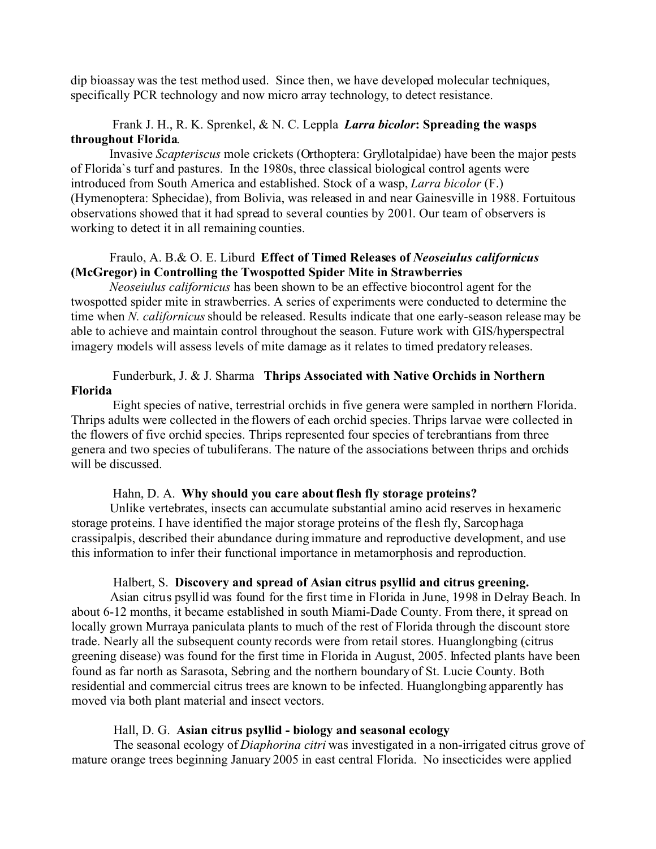dip bioassay was the test method used. Since then, we have developed molecular techniques, specifically PCR technology and now micro array technology, to detect resistance.

# Frank J. H., R. K. Sprenkel, & N. C. Leppla *Larra bicolor***: Spreading the wasps throughout Florida**.

Invasive *Scapteriscus* mole crickets (Orthoptera: Gryllotalpidae) have been the major pests of Florida`s turf and pastures. In the 1980s, three classical biological control agents were introduced from South America and established. Stock of a wasp, *Larra bicolor* (F.) (Hymenoptera: Sphecidae), from Bolivia, was released in and near Gainesville in 1988. Fortuitous observations showed that it had spread to several counties by 2001. Our team of observers is working to detect it in all remaining counties.

## Fraulo, A. B.& O. E. Liburd **Effect of Timed Releases of** *Neoseiulus californicus* **(McGregor) in Controlling the Twospotted Spider Mite in Strawberries**

*Neoseiulus californicus* has been shown to be an effective biocontrol agent for the twospotted spider mite in strawberries. A series of experiments were conducted to determine the time when *N. californicus* should be released. Results indicate that one early-season release may be able to achieve and maintain control throughout the season. Future work with GIS/hyperspectral imagery models will assess levels of mite damage as it relates to timed predatory releases.

## Funderburk, J. & J. Sharma **Thrips Associated with Native Orchids in Northern Florida**

 Eight species of native, terrestrial orchids in five genera were sampled in northern Florida. Thrips adults were collected in the flowers of each orchid species. Thrips larvae were collected in the flowers of five orchid species. Thrips represented four species of terebrantians from three genera and two species of tubuliferans. The nature of the associations between thrips and orchids will be discussed.

## Hahn, D. A. **Why should you care about flesh fly storage proteins?**

Unlike vertebrates, insects can accumulate substantial amino acid reserves in hexameric storage proteins. I have identified the major storage proteins of the flesh fly, Sarcophaga crassipalpis, described their abundance during immature and reproductive development, and use this information to infer their functional importance in metamorphosis and reproduction.

#### Halbert, S. **Discovery and spread of Asian citrus psyllid and citrus greening.**

Asian citrus psyllid was found for the first time in Florida in June, 1998 in Delray Beach. In about 6-12 months, it became established in south Miami-Dade County. From there, it spread on locally grown Murraya paniculata plants to much of the rest of Florida through the discount store trade. Nearly all the subsequent county records were from retail stores. Huanglongbing (citrus greening disease) was found for the first time in Florida in August, 2005. Infected plants have been found as far north as Sarasota, Sebring and the northern boundary of St. Lucie County. Both residential and commercial citrus trees are known to be infected. Huanglongbing apparently has moved via both plant material and insect vectors.

#### Hall, D. G. **Asian citrus psyllid - biology and seasonal ecology**

 The seasonal ecology of *Diaphorina citri* was investigated in a non-irrigated citrus grove of mature orange trees beginning January 2005 in east central Florida. No insecticides were applied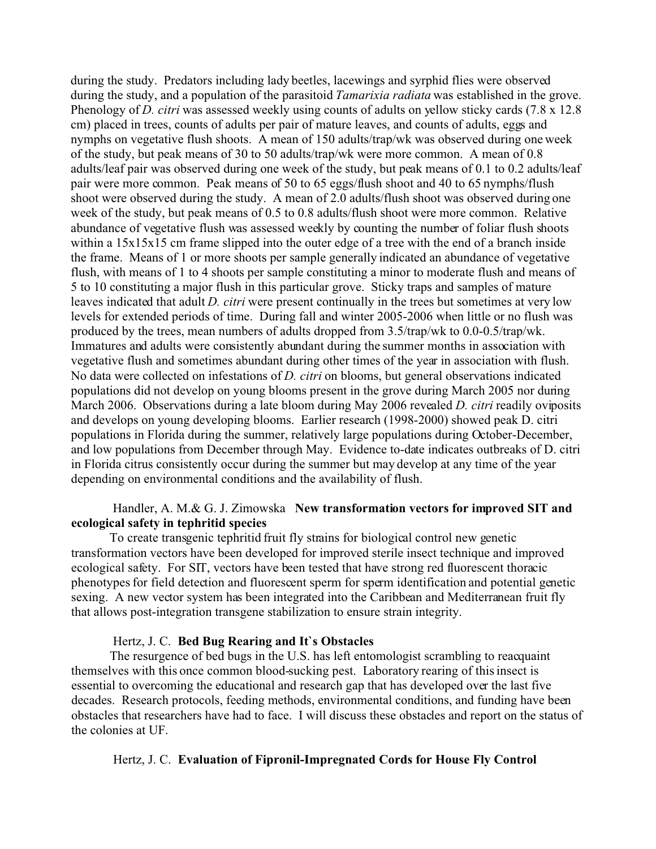during the study. Predators including lady beetles, lacewings and syrphid flies were observed during the study, and a population of the parasitoid *Tamarixia radiata* was established in the grove. Phenology of *D. citri* was assessed weekly using counts of adults on yellow sticky cards (7.8 x 12.8 cm) placed in trees, counts of adults per pair of mature leaves, and counts of adults, eggs and nymphs on vegetative flush shoots. A mean of 150 adults/trap/wk was observed during one week of the study, but peak means of 30 to 50 adults/trap/wk were more common. A mean of 0.8 adults/leaf pair was observed during one week of the study, but peak means of 0.1 to 0.2 adults/leaf pair were more common. Peak means of 50 to 65 eggs/flush shoot and 40 to 65 nymphs/flush shoot were observed during the study. A mean of 2.0 adults/flush shoot was observed during one week of the study, but peak means of 0.5 to 0.8 adults/flush shoot were more common. Relative abundance of vegetative flush was assessed weekly by counting the number of foliar flush shoots within a  $15x15x15$  cm frame slipped into the outer edge of a tree with the end of a branch inside the frame. Means of 1 or more shoots per sample generally indicated an abundance of vegetative flush, with means of 1 to 4 shoots per sample constituting a minor to moderate flush and means of 5 to 10 constituting a major flush in this particular grove. Sticky traps and samples of mature leaves indicated that adult *D. citri* were present continually in the trees but sometimes at very low levels for extended periods of time. During fall and winter 2005-2006 when little or no flush was produced by the trees, mean numbers of adults dropped from 3.5/trap/wk to 0.0-0.5/trap/wk. Immatures and adults were consistently abundant during the summer months in association with vegetative flush and sometimes abundant during other times of the year in association with flush. No data were collected on infestations of *D. citri* on blooms, but general observations indicated populations did not develop on young blooms present in the grove during March 2005 nor during March 2006. Observations during a late bloom during May 2006 revealed *D. citri* readily oviposits and develops on young developing blooms. Earlier research (1998-2000) showed peak D. citri populations in Florida during the summer, relatively large populations during October-December, and low populations from December through May. Evidence to-date indicates outbreaks of D. citri in Florida citrus consistently occur during the summer but may develop at any time of the year depending on environmental conditions and the availability of flush.

## Handler, A. M.& G. J. Zimowska **New transformation vectors for improved SIT and ecological safety in tephritid species**

To create transgenic tephritid fruit fly strains for biological control new genetic transformation vectors have been developed for improved sterile insect technique and improved ecological safety. For SIT, vectors have been tested that have strong red fluorescent thoracic phenotypes for field detection and fluorescent sperm for sperm identification and potential genetic sexing. A new vector system has been integrated into the Caribbean and Mediterranean fruit fly that allows post-integration transgene stabilization to ensure strain integrity.

## Hertz, J. C. **Bed Bug Rearing and It`s Obstacles**

The resurgence of bed bugs in the U.S. has left entomologist scrambling to reacquaint themselves with this once common blood-sucking pest. Laboratory rearing of this insect is essential to overcoming the educational and research gap that has developed over the last five decades. Research protocols, feeding methods, environmental conditions, and funding have been obstacles that researchers have had to face. I will discuss these obstacles and report on the status of the colonies at UF.

## Hertz, J. C. **Evaluation of Fipronil-Impregnated Cords for House Fly Control**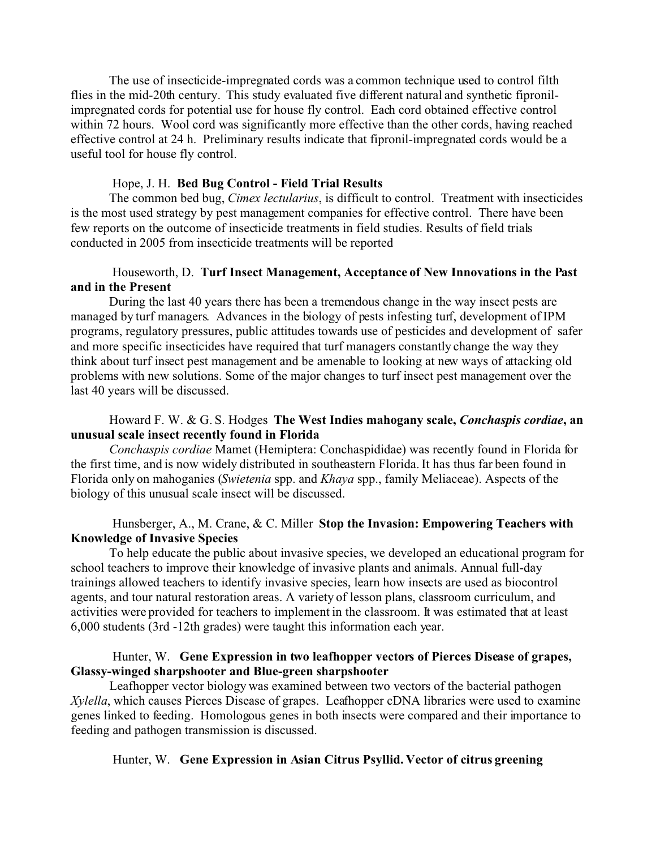The use of insecticide-impregnated cords was a common technique used to control filth flies in the mid-20th century. This study evaluated five different natural and synthetic fipronilimpregnated cords for potential use for house fly control. Each cord obtained effective control within 72 hours. Wool cord was significantly more effective than the other cords, having reached effective control at 24 h. Preliminary results indicate that fipronil-impregnated cords would be a useful tool for house fly control.

#### Hope, J. H. **Bed Bug Control - Field Trial Results**

The common bed bug, *Cimex lectularius*, is difficult to control. Treatment with insecticides is the most used strategy by pest management companies for effective control. There have been few reports on the outcome of insecticide treatments in field studies. Results of field trials conducted in 2005 from insecticide treatments will be reported

### Houseworth, D. **Turf Insect Management, Acceptance of New Innovations in the Past and in the Present**

During the last 40 years there has been a tremendous change in the way insect pests are managed by turf managers. Advances in the biology of pests infesting turf, development of IPM programs, regulatory pressures, public attitudes towards use of pesticides and development of safer and more specific insecticides have required that turf managers constantly change the way they think about turf insect pest management and be amenable to looking at new ways of attacking old problems with new solutions. Some of the major changes to turf insect pest management over the last 40 years will be discussed.

# Howard F. W. & G. S. Hodges **The West Indies mahogany scale,** *Conchaspis cordiae***, an unusual scale insect recently found in Florida**

*Conchaspis cordiae* Mamet (Hemiptera: Conchaspididae) was recently found in Florida for the first time, and is now widely distributed in southeastern Florida. It has thus far been found in Florida only on mahoganies (*Swietenia* spp. and *Khaya* spp., family Meliaceae). Aspects of the biology of this unusual scale insect will be discussed.

## Hunsberger, A., M. Crane, & C. Miller **Stop the Invasion: Empowering Teachers with Knowledge of Invasive Species**

To help educate the public about invasive species, we developed an educational program for school teachers to improve their knowledge of invasive plants and animals. Annual full-day trainings allowed teachers to identify invasive species, learn how insects are used as biocontrol agents, and tour natural restoration areas. A variety of lesson plans, classroom curriculum, and activities were provided for teachers to implement in the classroom. It was estimated that at least 6,000 students (3rd -12th grades) were taught this information each year.

## Hunter, W. **Gene Expression in two leafhopper vectors of Pierces Disease of grapes, Glassy-winged sharpshooter and Blue-green sharpshooter**

Leafhopper vector biology was examined between two vectors of the bacterial pathogen *Xylella*, which causes Pierces Disease of grapes. Leafhopper cDNA libraries were used to examine genes linked to feeding. Homologous genes in both insects were compared and their importance to feeding and pathogen transmission is discussed.

#### Hunter, W. **Gene Expression in Asian Citrus Psyllid. Vector of citrus greening**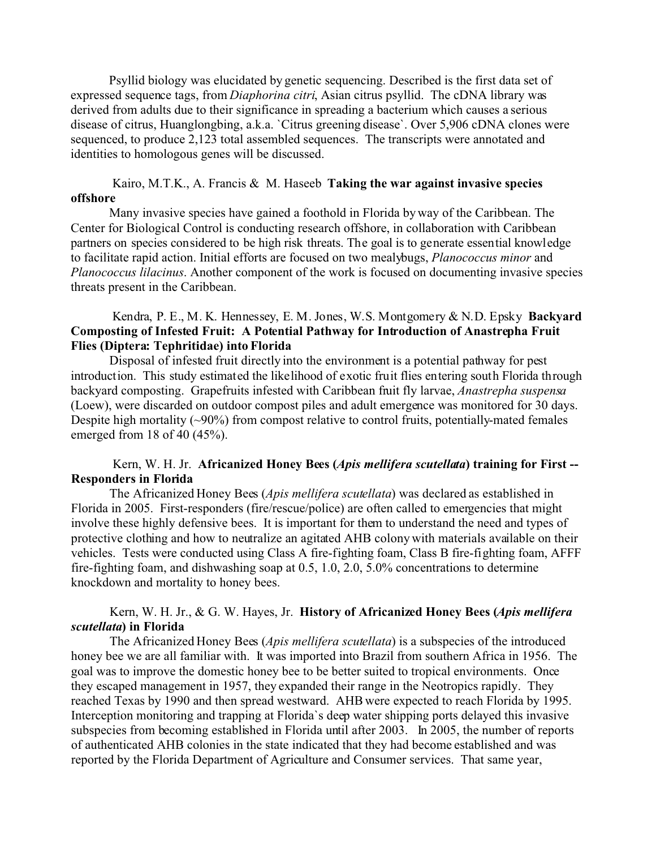Psyllid biology was elucidated by genetic sequencing. Described is the first data set of expressed sequence tags, from *Diaphorina citri*, Asian citrus psyllid. The cDNA library was derived from adults due to their significance in spreading a bacterium which causes a serious disease of citrus, Huanglongbing, a.k.a. `Citrus greening disease`. Over 5,906 cDNA clones were sequenced, to produce 2,123 total assembled sequences. The transcripts were annotated and identities to homologous genes will be discussed.

### Kairo, M.T.K., A. Francis & M. Haseeb **Taking the war against invasive species offshore**

Many invasive species have gained a foothold in Florida by way of the Caribbean. The Center for Biological Control is conducting research offshore, in collaboration with Caribbean partners on species considered to be high risk threats. The goal is to generate essential knowledge to facilitate rapid action. Initial efforts are focused on two mealybugs, *Planococcus minor* and *Planococcus lilacinus*. Another component of the work is focused on documenting invasive species threats present in the Caribbean.

# Kendra, P. E., M. K. Hennessey, E. M. Jones, W.S. Montgomery & N.D. Epsky **Backyard Composting of Infested Fruit: A Potential Pathway for Introduction of Anastrepha Fruit Flies (Diptera: Tephritidae) into Florida**

Disposal of infested fruit directly into the environment is a potential pathway for pest introduction. This study estimated the likelihood of exotic fruit flies entering south Florida through backyard composting. Grapefruits infested with Caribbean fruit fly larvae, *Anastrepha suspensa* (Loew), were discarded on outdoor compost piles and adult emergence was monitored for 30 days. Despite high mortality  $(\sim)0\%$  from compost relative to control fruits, potentially-mated females emerged from 18 of 40 (45%).

## Kern, W. H. Jr. **Africanized Honey Bees (***Apis mellifera scutellata***) training for First -- Responders in Florida**

The Africanized Honey Bees (*Apis mellifera scutellata*) was declared as established in Florida in 2005. First-responders (fire/rescue/police) are often called to emergencies that might involve these highly defensive bees. It is important for them to understand the need and types of protective clothing and how to neutralize an agitated AHB colony with materials available on their vehicles. Tests were conducted using Class A fire-fighting foam, Class B fire-fighting foam, AFFF fire-fighting foam, and dishwashing soap at 0.5, 1.0, 2.0, 5.0% concentrations to determine knockdown and mortality to honey bees.

## Kern, W. H. Jr., & G. W. Hayes, Jr. **History of Africanized Honey Bees (***Apis mellifera scutellata***) in Florida**

The Africanized Honey Bees (*Apis mellifera scutellata*) is a subspecies of the introduced honey bee we are all familiar with. It was imported into Brazil from southern Africa in 1956. The goal was to improve the domestic honey bee to be better suited to tropical environments. Once they escaped management in 1957, they expanded their range in the Neotropics rapidly. They reached Texas by 1990 and then spread westward. AHB were expected to reach Florida by 1995. Interception monitoring and trapping at Florida`s deep water shipping ports delayed this invasive subspecies from becoming established in Florida until after 2003. In 2005, the number of reports of authenticated AHB colonies in the state indicated that they had become established and was reported by the Florida Department of Agriculture and Consumer services. That same year,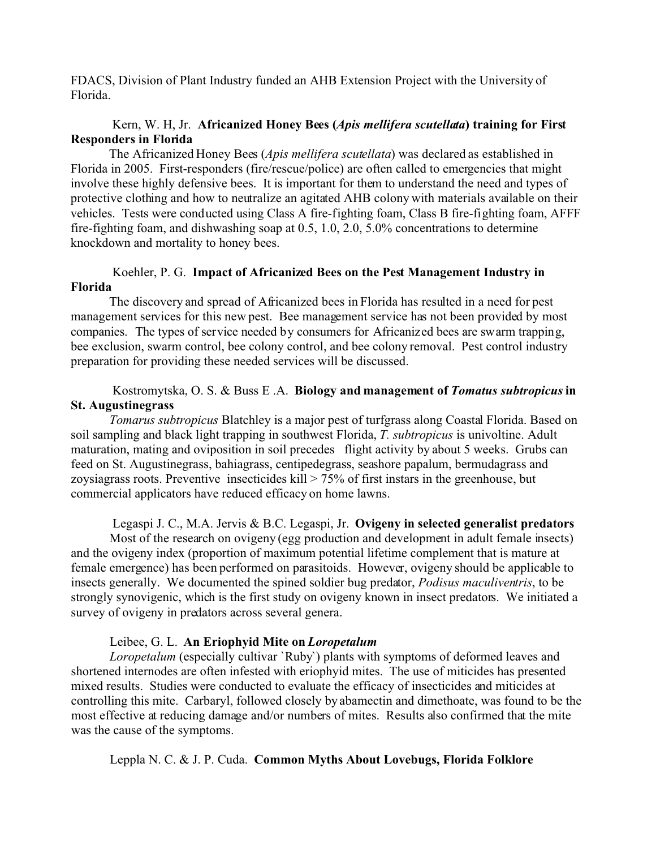FDACS, Division of Plant Industry funded an AHB Extension Project with the University of Florida.

# Kern, W. H, Jr. **Africanized Honey Bees (***Apis mellifera scutellata***) training for First Responders in Florida**

The Africanized Honey Bees (*Apis mellifera scutellata*) was declared as established in Florida in 2005. First-responders (fire/rescue/police) are often called to emergencies that might involve these highly defensive bees. It is important for them to understand the need and types of protective clothing and how to neutralize an agitated AHB colony with materials available on their vehicles. Tests were conducted using Class A fire-fighting foam, Class B fire-fighting foam, AFFF fire-fighting foam, and dishwashing soap at 0.5, 1.0, 2.0, 5.0% concentrations to determine knockdown and mortality to honey bees.

# Koehler, P. G. **Impact of Africanized Bees on the Pest Management Industry in Florida**

The discovery and spread of Africanized bees in Florida has resulted in a need for pest management services for this new pest. Bee management service has not been provided by most companies. The types of service needed by consumers for Africanized bees are swarm trapping, bee exclusion, swarm control, bee colony control, and bee colony removal. Pest control industry preparation for providing these needed services will be discussed.

# Kostromytska, O. S. & Buss E .A. **Biology and management of** *Tomatus subtropicus* **in St. Augustinegrass**

*Tomarus subtropicus* Blatchley is a major pest of turfgrass along Coastal Florida. Based on soil sampling and black light trapping in southwest Florida, *T. subtropicus* is univoltine. Adult maturation, mating and oviposition in soil precedes flight activity by about 5 weeks. Grubs can feed on St. Augustinegrass, bahiagrass, centipedegrass, seashore papalum, bermudagrass and zoysiagrass roots. Preventive insecticides kill  $> 75\%$  of first instars in the greenhouse, but commercial applicators have reduced efficacy on home lawns.

Legaspi J. C., M.A. Jervis & B.C. Legaspi, Jr. **Ovigeny in selected generalist predators**

Most of the research on ovigeny (egg production and development in adult female insects) and the ovigeny index (proportion of maximum potential lifetime complement that is mature at female emergence) has been performed on parasitoids. However, ovigeny should be applicable to insects generally. We documented the spined soldier bug predator, *Podisus maculiventris*, to be strongly synovigenic, which is the first study on ovigeny known in insect predators. We initiated a survey of ovigeny in predators across several genera.

## Leibee, G. L. **An Eriophyid Mite on** *Loropetalum*

*Loropetalum* (especially cultivar `Ruby`) plants with symptoms of deformed leaves and shortened internodes are often infested with eriophyid mites. The use of miticides has presented mixed results. Studies were conducted to evaluate the efficacy of insecticides and miticides at controlling this mite. Carbaryl, followed closely by abamectin and dimethoate, was found to be the most effective at reducing damage and/or numbers of mites. Results also confirmed that the mite was the cause of the symptoms.

Leppla N. C. & J. P. Cuda. **Common Myths About Lovebugs, Florida Folklore**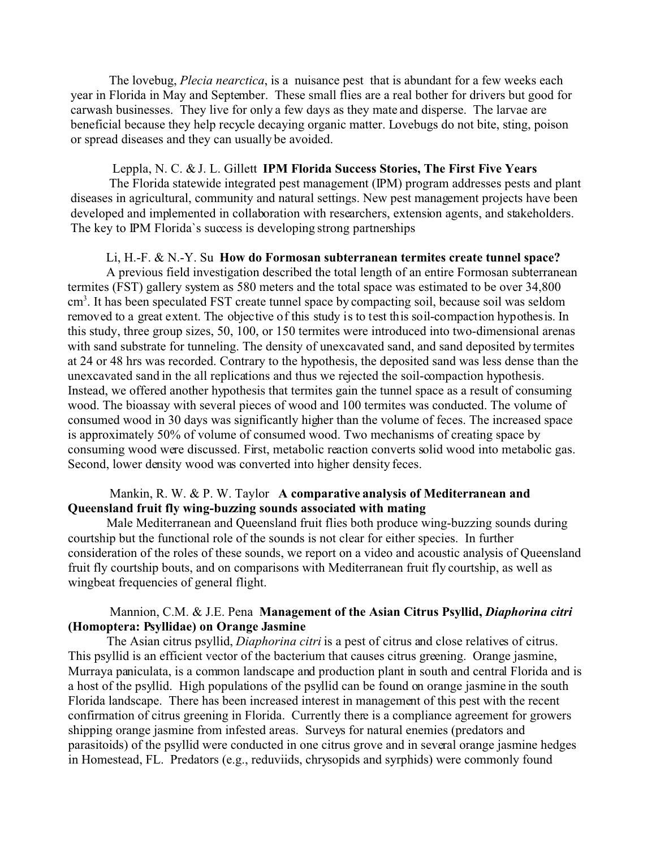The lovebug, *Plecia nearctica*, is a nuisance pest that is abundant for a few weeks each year in Florida in May and September. These small flies are a real bother for drivers but good for carwash businesses. They live for only a few days as they mate and disperse. The larvae are beneficial because they help recycle decaying organic matter. Lovebugs do not bite, sting, poison or spread diseases and they can usually be avoided.

#### Leppla, N. C. & J. L. Gillett **IPM Florida Success Stories, The First Five Years**

The Florida statewide integrated pest management (IPM) program addresses pests and plant diseases in agricultural, community and natural settings. New pest management projects have been developed and implemented in collaboration with researchers, extension agents, and stakeholders. The key to IPM Florida`s success is developing strong partnerships

#### Li, H.-F. & N.-Y. Su **How do Formosan subterranean termites create tunnel space?**

A previous field investigation described the total length of an entire Formosan subterranean termites (FST) gallery system as 580 meters and the total space was estimated to be over 34,800 cm<sup>3</sup>. It has been speculated FST create tunnel space by compacting soil, because soil was seldom removed to a great extent. The objective of this study is to test this soil-compaction hypothesis. In this study, three group sizes, 50, 100, or 150 termites were introduced into two-dimensional arenas with sand substrate for tunneling. The density of unexcavated sand, and sand deposited by termites at 24 or 48 hrs was recorded. Contrary to the hypothesis, the deposited sand was less dense than the unexcavated sand in the all replications and thus we rejected the soil-compaction hypothesis. Instead, we offered another hypothesis that termites gain the tunnel space as a result of consuming wood. The bioassay with several pieces of wood and 100 termites was conducted. The volume of consumed wood in 30 days was significantly higher than the volume of feces. The increased space is approximately 50% of volume of consumed wood. Two mechanisms of creating space by consuming wood were discussed. First, metabolic reaction converts solid wood into metabolic gas. Second, lower density wood was converted into higher density feces.

### Mankin, R. W. & P. W. Taylor **A comparative analysis of Mediterranean and Queensland fruit fly wing-buzzing sounds associated with mating**

Male Mediterranean and Queensland fruit flies both produce wing-buzzing sounds during courtship but the functional role of the sounds is not clear for either species. In further consideration of the roles of these sounds, we report on a video and acoustic analysis of Queensland fruit fly courtship bouts, and on comparisons with Mediterranean fruit fly courtship, as well as wingbeat frequencies of general flight.

## Mannion, C.M. & J.E. Pena **Management of the Asian Citrus Psyllid,** *Diaphorina citri* **(Homoptera: Psyllidae) on Orange Jasmine**

The Asian citrus psyllid, *Diaphorina citri* is a pest of citrus and close relatives of citrus. This psyllid is an efficient vector of the bacterium that causes citrus greening. Orange jasmine, Murraya paniculata, is a common landscape and production plant in south and central Florida and is a host of the psyllid. High populations of the psyllid can be found on orange jasmine in the south Florida landscape. There has been increased interest in management of this pest with the recent confirmation of citrus greening in Florida. Currently there is a compliance agreement for growers shipping orange jasmine from infested areas. Surveys for natural enemies (predators and parasitoids) of the psyllid were conducted in one citrus grove and in several orange jasmine hedges in Homestead, FL. Predators (e.g., reduviids, chrysopids and syrphids) were commonly found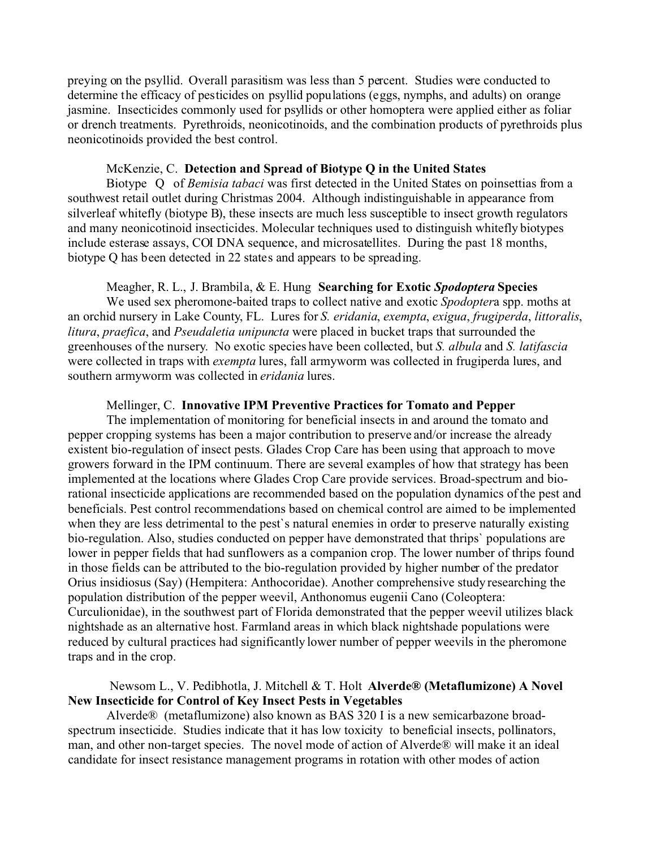preying on the psyllid. Overall parasitism was less than 5 percent. Studies were conducted to determine the efficacy of pesticides on psyllid populations (eggs, nymphs, and adults) on orange jasmine. Insecticides commonly used for psyllids or other homoptera were applied either as foliar or drench treatments. Pyrethroids, neonicotinoids, and the combination products of pyrethroids plus neonicotinoids provided the best control.

#### McKenzie, C. **Detection and Spread of Biotype Q in the United States**

Biotype Q of *Bemisia tabaci* was first detected in the United States on poinsettias from a southwest retail outlet during Christmas 2004. Although indistinguishable in appearance from silverleaf whitefly (biotype B), these insects are much less susceptible to insect growth regulators and many neonicotinoid insecticides. Molecular techniques used to distinguish whitefly biotypes include esterase assays, COI DNA sequence, and microsatellites. During the past 18 months, biotype Q has been detected in 22 states and appears to be spreading.

#### Meagher, R. L., J. Brambila, & E. Hung **Searching for Exotic** *Spodoptera* **Species**

We used sex pheromone-baited traps to collect native and exotic *Spodopter*a spp. moths at an orchid nursery in Lake County, FL. Lures for *S. eridania*, *exempta*, *exigua*, *frugiperda*, *littoralis*, *litura*, *praefica*, and *Pseudaletia unipuncta* were placed in bucket traps that surrounded the greenhouses of the nursery. No exotic species have been collected, but *S. albula* and *S. latifascia* were collected in traps with *exempta* lures, fall armyworm was collected in frugiperda lures, and southern armyworm was collected in *eridania* lures.

#### Mellinger, C. **Innovative IPM Preventive Practices for Tomato and Pepper**

The implementation of monitoring for beneficial insects in and around the tomato and pepper cropping systems has been a major contribution to preserve and/or increase the already existent bio-regulation of insect pests. Glades Crop Care has been using that approach to move growers forward in the IPM continuum. There are several examples of how that strategy has been implemented at the locations where Glades Crop Care provide services. Broad-spectrum and biorational insecticide applications are recommended based on the population dynamics of the pest and beneficials. Pest control recommendations based on chemical control are aimed to be implemented when they are less detrimental to the pest`s natural enemies in order to preserve naturally existing bio-regulation. Also, studies conducted on pepper have demonstrated that thrips` populations are lower in pepper fields that had sunflowers as a companion crop. The lower number of thrips found in those fields can be attributed to the bio-regulation provided by higher number of the predator Orius insidiosus (Say) (Hempitera: Anthocoridae). Another comprehensive study researching the population distribution of the pepper weevil, Anthonomus eugenii Cano (Coleoptera: Curculionidae), in the southwest part of Florida demonstrated that the pepper weevil utilizes black nightshade as an alternative host. Farmland areas in which black nightshade populations were reduced by cultural practices had significantly lower number of pepper weevils in the pheromone traps and in the crop.

# Newsom L., V. Pedibhotla, J. Mitchell & T. Holt **Alverde® (Metaflumizone) A Novel New Insecticide for Control of Key Insect Pests in Vegetables**

Alverde® (metaflumizone) also known as BAS 320 I is a new semicarbazone broadspectrum insecticide. Studies indicate that it has low toxicity to beneficial insects, pollinators, man, and other non-target species. The novel mode of action of Alverde® will make it an ideal candidate for insect resistance management programs in rotation with other modes of action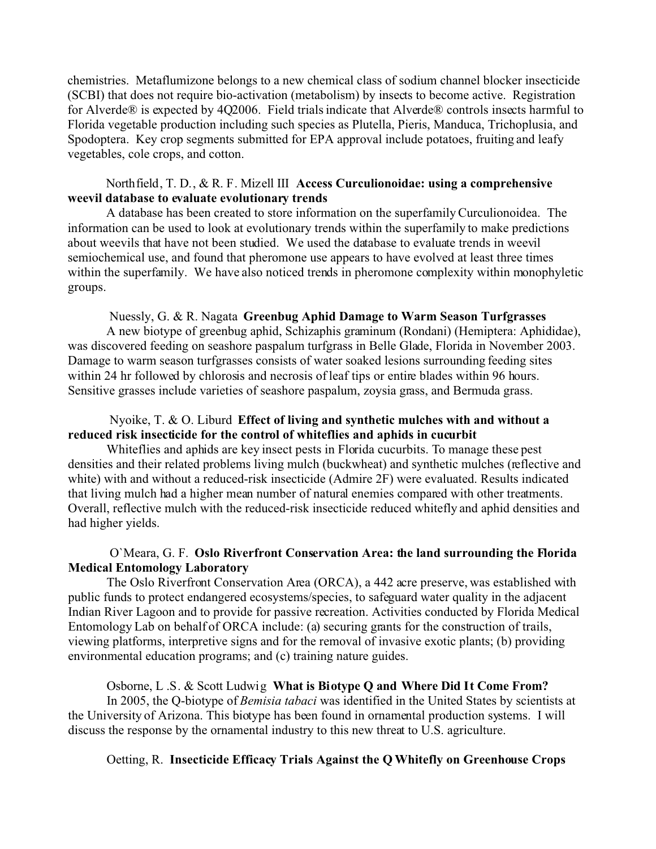chemistries. Metaflumizone belongs to a new chemical class of sodium channel blocker insecticide (SCBI) that does not require bio-activation (metabolism) by insects to become active. Registration for Alverde® is expected by 4Q2006. Field trials indicate that Alverde® controls insects harmful to Florida vegetable production including such species as Plutella, Pieris, Manduca, Trichoplusia, and Spodoptera. Key crop segments submitted for EPA approval include potatoes, fruiting and leafy vegetables, cole crops, and cotton.

## Northfield, T. D., & R. F. Mizell III **Access Curculionoidae: using a comprehensive weevil database to evaluate evolutionary trends**

A database has been created to store information on the superfamily Curculionoidea. The information can be used to look at evolutionary trends within the superfamily to make predictions about weevils that have not been studied. We used the database to evaluate trends in weevil semiochemical use, and found that pheromone use appears to have evolved at least three times within the superfamily. We have also noticed trends in pheromone complexity within monophyletic groups.

#### Nuessly, G. & R. Nagata **Greenbug Aphid Damage to Warm Season Turfgrasses**

A new biotype of greenbug aphid, Schizaphis graminum (Rondani) (Hemiptera: Aphididae), was discovered feeding on seashore paspalum turfgrass in Belle Glade, Florida in November 2003. Damage to warm season turfgrasses consists of water soaked lesions surrounding feeding sites within 24 hr followed by chlorosis and necrosis of leaf tips or entire blades within 96 hours. Sensitive grasses include varieties of seashore paspalum, zoysia grass, and Bermuda grass.

# Nyoike, T. & O. Liburd **Effect of living and synthetic mulches with and without a reduced risk insecticide for the control of whiteflies and aphids in cucurbit**

Whiteflies and aphids are key insect pests in Florida cucurbits. To manage these pest densities and their related problems living mulch (buckwheat) and synthetic mulches (reflective and white) with and without a reduced-risk insecticide (Admire 2F) were evaluated. Results indicated that living mulch had a higher mean number of natural enemies compared with other treatments. Overall, reflective mulch with the reduced-risk insecticide reduced whitefly and aphid densities and had higher yields.

## O`Meara, G. F. **Oslo Riverfront Conservation Area: the land surrounding the Florida Medical Entomology Laboratory**

The Oslo Riverfront Conservation Area (ORCA), a 442 acre preserve, was established with public funds to protect endangered ecosystems/species, to safeguard water quality in the adjacent Indian River Lagoon and to provide for passive recreation. Activities conducted by Florida Medical Entomology Lab on behalf of ORCA include: (a) securing grants for the construction of trails, viewing platforms, interpretive signs and for the removal of invasive exotic plants; (b) providing environmental education programs; and (c) training nature guides.

## Osborne, L .S. & Scott Ludwig **What is Biotype Q and Where Did It Come From?**

In 2005, the Q-biotype of *Bemisia tabaci* was identified in the United States by scientists at the University of Arizona. This biotype has been found in ornamental production systems. I will discuss the response by the ornamental industry to this new threat to U.S. agriculture.

## Oetting, R. **Insecticide Efficacy Trials Against the Q Whitefly on Greenhouse Crops**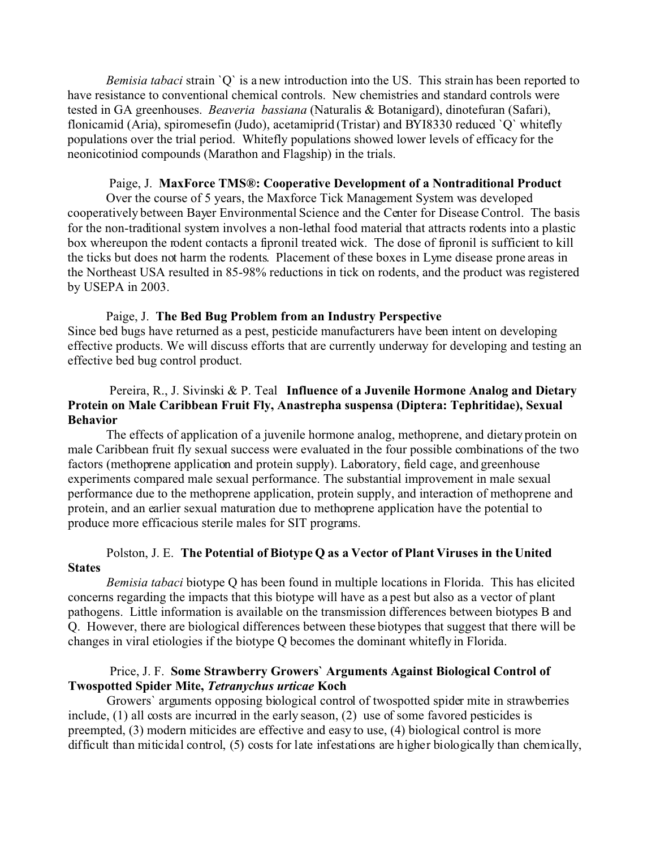*Bemisia tabaci* strain `O` is a new introduction into the US. This strain has been reported to have resistance to conventional chemical controls. New chemistries and standard controls were tested in GA greenhouses. *Beaveria bassiana* (Naturalis & Botanigard), dinotefuran (Safari), flonicamid (Aria), spiromesefin (Judo), acetamiprid (Tristar) and BYI8330 reduced `Q` whitefly populations over the trial period. Whitefly populations showed lower levels of efficacy for the neonicotiniod compounds (Marathon and Flagship) in the trials.

#### Paige, J. **MaxForce TMS®: Cooperative Development of a Nontraditional Product**

Over the course of 5 years, the Maxforce Tick Management System was developed cooperatively between Bayer Environmental Science and the Center for Disease Control. The basis for the non-traditional system involves a non-lethal food material that attracts rodents into a plastic box whereupon the rodent contacts a fipronil treated wick. The dose of fipronil is sufficient to kill the ticks but does not harm the rodents. Placement of these boxes in Lyme disease prone areas in the Northeast USA resulted in 85-98% reductions in tick on rodents, and the product was registered by USEPA in 2003.

### Paige, J. **The Bed Bug Problem from an Industry Perspective**

Since bed bugs have returned as a pest, pesticide manufacturers have been intent on developing effective products. We will discuss efforts that are currently underway for developing and testing an effective bed bug control product.

# Pereira, R., J. Sivinski & P. Teal **Influence of a Juvenile Hormone Analog and Dietary Protein on Male Caribbean Fruit Fly, Anastrepha suspensa (Diptera: Tephritidae), Sexual Behavior**

The effects of application of a juvenile hormone analog, methoprene, and dietary protein on male Caribbean fruit fly sexual success were evaluated in the four possible combinations of the two factors (methoprene application and protein supply). Laboratory, field cage, and greenhouse experiments compared male sexual performance. The substantial improvement in male sexual performance due to the methoprene application, protein supply, and interaction of methoprene and protein, and an earlier sexual maturation due to methoprene application have the potential to produce more efficacious sterile males for SIT programs.

# Polston, J. E. **The Potential of Biotype Q as a Vector of Plant Viruses in the United States**

*Bemisia tabaci* biotype Q has been found in multiple locations in Florida. This has elicited concerns regarding the impacts that this biotype will have as a pest but also as a vector of plant pathogens. Little information is available on the transmission differences between biotypes B and Q. However, there are biological differences between these biotypes that suggest that there will be changes in viral etiologies if the biotype Q becomes the dominant whitefly in Florida.

## Price, J. F. **Some Strawberry Growers` Arguments Against Biological Control of Twospotted Spider Mite,** *Tetranychus urticae* **Koch**

Growers` arguments opposing biological control of twospotted spider mite in strawberries include, (1) all costs are incurred in the early season, (2) use of some favored pesticides is preempted, (3) modern miticides are effective and easy to use, (4) biological control is more difficult than miticidal control, (5) costs for late infestations are higher biologically than chemically,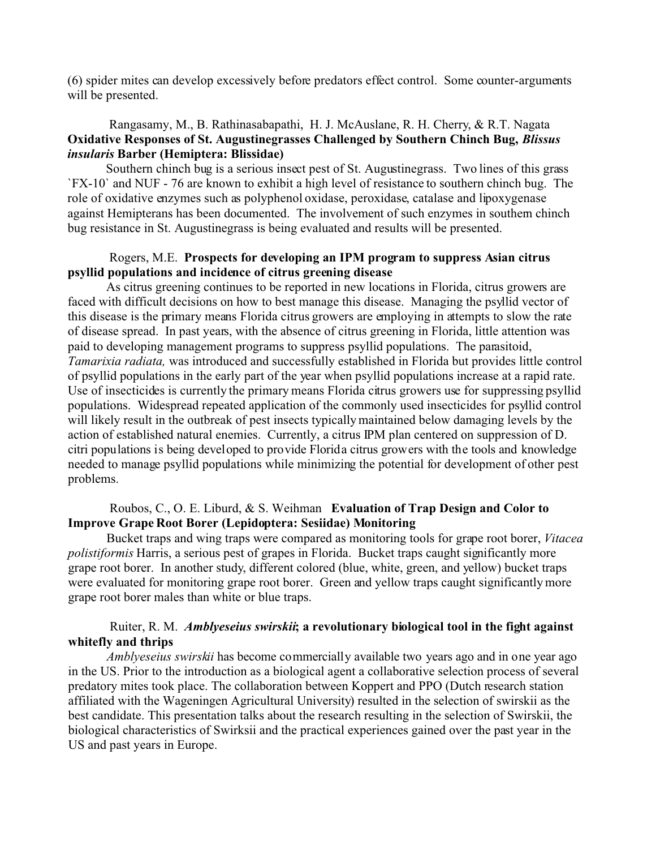(6) spider mites can develop excessively before predators effect control. Some counter-arguments will be presented.

## Rangasamy, M., B. Rathinasabapathi, H. J. McAuslane, R. H. Cherry, & R.T. Nagata **Oxidative Responses of St. Augustinegrasses Challenged by Southern Chinch Bug,** *Blissus insularis* **Barber (Hemiptera: Blissidae)**

Southern chinch bug is a serious insect pest of St. Augustinegrass. Two lines of this grass `FX-10` and NUF - 76 are known to exhibit a high level of resistance to southern chinch bug. The role of oxidative enzymes such as polyphenol oxidase, peroxidase, catalase and lipoxygenase against Hemipterans has been documented. The involvement of such enzymes in southern chinch bug resistance in St. Augustinegrass is being evaluated and results will be presented.

### Rogers, M.E. **Prospects for developing an IPM program to suppress Asian citrus psyllid populations and incidence of citrus greening disease**

As citrus greening continues to be reported in new locations in Florida, citrus growers are faced with difficult decisions on how to best manage this disease. Managing the psyllid vector of this disease is the primary means Florida citrus growers are employing in attempts to slow the rate of disease spread. In past years, with the absence of citrus greening in Florida, little attention was paid to developing management programs to suppress psyllid populations. The parasitoid, *Tamarixia radiata,* was introduced and successfully established in Florida but provides little control of psyllid populations in the early part of the year when psyllid populations increase at a rapid rate. Use of insecticides is currently the primary means Florida citrus growers use for suppressing psyllid populations. Widespread repeated application of the commonly used insecticides for psyllid control will likely result in the outbreak of pest insects typically maintained below damaging levels by the action of established natural enemies. Currently, a citrus IPM plan centered on suppression of D. citri populations is being developed to provide Florida citrus growers with the tools and knowledge needed to manage psyllid populations while minimizing the potential for development of other pest problems.

# Roubos, C., O. E. Liburd, & S. Weihman **Evaluation of Trap Design and Color to Improve Grape Root Borer (Lepidoptera: Sesiidae) Monitoring**

Bucket traps and wing traps were compared as monitoring tools for grape root borer, *Vitacea polistiformis* Harris, a serious pest of grapes in Florida. Bucket traps caught significantly more grape root borer. In another study, different colored (blue, white, green, and yellow) bucket traps were evaluated for monitoring grape root borer. Green and yellow traps caught significantly more grape root borer males than white or blue traps.

## Ruiter, R. M. *Amblyeseius swirskii***; a revolutionary biological tool in the fight against whitefly and thrips**

*Amblyeseius swirskii* has become commercially available two years ago and in one year ago in the US. Prior to the introduction as a biological agent a collaborative selection process of several predatory mites took place. The collaboration between Koppert and PPO (Dutch research station affiliated with the Wageningen Agricultural University) resulted in the selection of swirskii as the best candidate. This presentation talks about the research resulting in the selection of Swirskii, the biological characteristics of Swirksii and the practical experiences gained over the past year in the US and past years in Europe.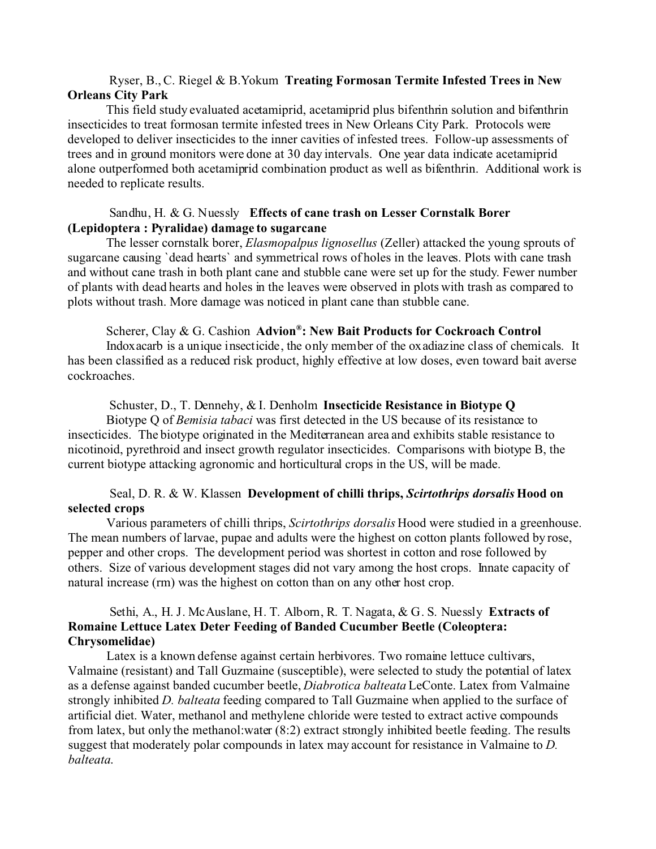## Ryser, B., C. Riegel & B.Yokum **Treating Formosan Termite Infested Trees in New Orleans City Park**

This field study evaluated acetamiprid, acetamiprid plus bifenthrin solution and bifenthrin insecticides to treat formosan termite infested trees in New Orleans City Park. Protocols were developed to deliver insecticides to the inner cavities of infested trees. Follow-up assessments of trees and in ground monitors were done at 30 day intervals. One year data indicate acetamiprid alone outperformed both acetamiprid combination product as well as bifenthrin. Additional work is needed to replicate results.

## Sandhu, H. & G. Nuessly **Effects of cane trash on Lesser Cornstalk Borer (Lepidoptera : Pyralidae) damage to sugarcane**

The lesser cornstalk borer, *Elasmopalpus lignosellus* (Zeller) attacked the young sprouts of sugarcane causing `dead hearts` and symmetrical rows of holes in the leaves. Plots with cane trash and without cane trash in both plant cane and stubble cane were set up for the study. Fewer number of plants with dead hearts and holes in the leaves were observed in plots with trash as compared to plots without trash. More damage was noticed in plant cane than stubble cane.

## Scherer, Clay & G. Cashion **Advion® : New Bait Products for Cockroach Control**

Indoxacarb is a unique insecticide, the only member of the oxadiazine class of chemicals. It has been classified as a reduced risk product, highly effective at low doses, even toward bait averse cockroaches.

### Schuster, D., T. Dennehy, & I. Denholm **Insecticide Resistance in Biotype Q**

Biotype Q of *Bemisia tabaci* was first detected in the US because of its resistance to insecticides. The biotype originated in the Mediterranean area and exhibits stable resistance to nicotinoid, pyrethroid and insect growth regulator insecticides. Comparisons with biotype B, the current biotype attacking agronomic and horticultural crops in the US, will be made.

# Seal, D. R. & W. Klassen **Development of chilli thrips,** *Scirtothrips dorsalis* **Hood on selected crops**

Various parameters of chilli thrips, *Scirtothrips dorsalis* Hood were studied in a greenhouse. The mean numbers of larvae, pupae and adults were the highest on cotton plants followed by rose, pepper and other crops. The development period was shortest in cotton and rose followed by others. Size of various development stages did not vary among the host crops. Innate capacity of natural increase (rm) was the highest on cotton than on any other host crop.

# Sethi, A., H. J. McAuslane, H. T. Alborn, R. T. Nagata, & G. S. Nuessly **Extracts of Romaine Lettuce Latex Deter Feeding of Banded Cucumber Beetle (Coleoptera: Chrysomelidae)**

Latex is a known defense against certain herbivores. Two romaine lettuce cultivars, Valmaine (resistant) and Tall Guzmaine (susceptible), were selected to study the potential of latex as a defense against banded cucumber beetle, *Diabrotica balteata* LeConte. Latex from Valmaine strongly inhibited *D. balteata* feeding compared to Tall Guzmaine when applied to the surface of artificial diet. Water, methanol and methylene chloride were tested to extract active compounds from latex, but only the methanol:water (8:2) extract strongly inhibited beetle feeding. The results suggest that moderately polar compounds in latex may account for resistance in Valmaine to *D. balteata*.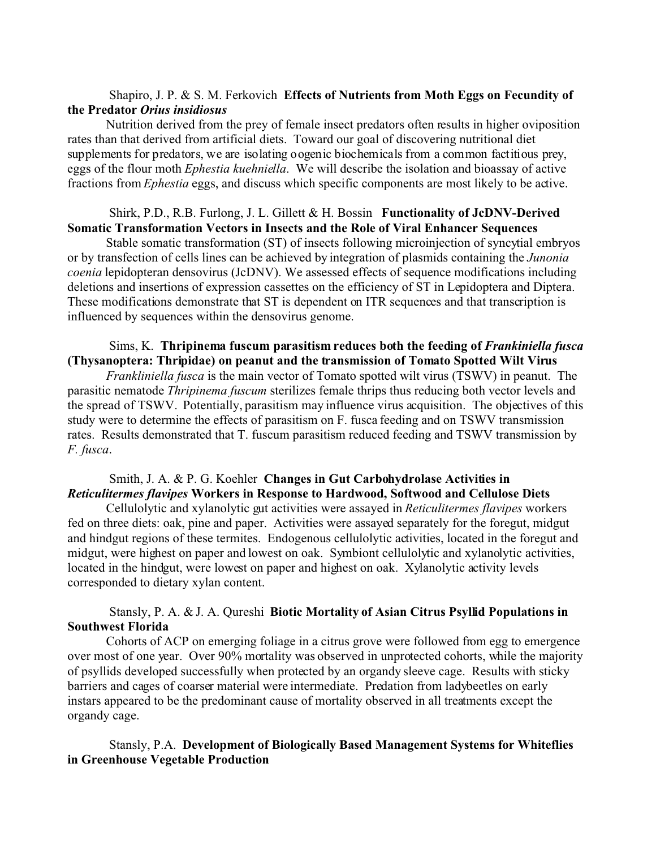## Shapiro, J. P. & S. M. Ferkovich **Effects of Nutrients from Moth Eggs on Fecundity of the Predator** *Orius insidiosus*

Nutrition derived from the prey of female insect predators often results in higher oviposition rates than that derived from artificial diets. Toward our goal of discovering nutritional diet supplements for predators, we are isolating oogenic biochemicals from a common factitious prey, eggs of the flour moth *Ephestia kuehniella*. We will describe the isolation and bioassay of active fractions from *Ephestia* eggs, and discuss which specific components are most likely to be active.

## Shirk, P.D., R.B. Furlong, J. L. Gillett & H. Bossin **Functionality of JcDNV-Derived Somatic Transformation Vectors in Insects and the Role of Viral Enhancer Sequences**

Stable somatic transformation (ST) of insects following microinjection of syncytial embryos or by transfection of cells lines can be achieved by integration of plasmids containing the *Junonia coenia* lepidopteran densovirus (JcDNV). We assessed effects of sequence modifications including deletions and insertions of expression cassettes on the efficiency of ST in Lepidoptera and Diptera. These modifications demonstrate that ST is dependent on ITR sequences and that transcription is influenced by sequences within the densovirus genome.

# Sims, K. **Thripinema fuscum parasitism reduces both the feeding of** *Frankiniella fusca* **(Thysanoptera: Thripidae) on peanut and the transmission of Tomato Spotted Wilt Virus**

*Frankliniella fusca* is the main vector of Tomato spotted wilt virus (TSWV) in peanut. The parasitic nematode *Thripinema fuscum* sterilizes female thrips thus reducing both vector levels and the spread of TSWV. Potentially, parasitism may influence virus acquisition. The objectives of this study were to determine the effects of parasitism on F. fusca feeding and on TSWV transmission rates. Results demonstrated that T. fuscum parasitism reduced feeding and TSWV transmission by *F. fusca*.

# Smith, J. A. & P. G. Koehler **Changes in Gut Carbohydrolase Activities in** *Reticulitermes flavipes* **Workers in Response to Hardwood, Softwood and Cellulose Diets**

Cellulolytic and xylanolytic gut activities were assayed in *Reticulitermes flavipes* workers fed on three diets: oak, pine and paper. Activities were assayed separately for the foregut, midgut and hindgut regions of these termites. Endogenous cellulolytic activities, located in the foregut and midgut, were highest on paper and lowest on oak. Symbiont cellulolytic and xylanolytic activities, located in the hindgut, were lowest on paper and highest on oak. Xylanolytic activity levels corresponded to dietary xylan content.

# Stansly, P. A. & J. A. Qureshi **Biotic Mortality of Asian Citrus Psyllid Populations in Southwest Florida**

Cohorts of ACP on emerging foliage in a citrus grove were followed from egg to emergence over most of one year. Over 90% mortality was observed in unprotected cohorts, while the majority of psyllids developed successfully when protected by an organdy sleeve cage. Results with sticky barriers and cages of coarser material were intermediate. Predation from ladybeetles on early instars appeared to be the predominant cause of mortality observed in all treatments except the organdy cage.

# Stansly, P.A. **Development of Biologically Based Management Systems for Whiteflies in Greenhouse Vegetable Production**